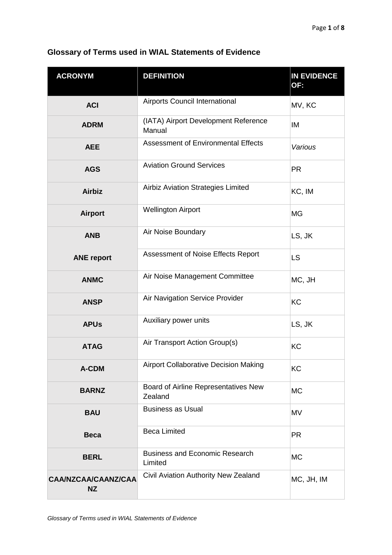| <b>ACRONYM</b>                          | <b>DEFINITION</b>                                | <b>IN EVIDENCE</b><br>OF: |
|-----------------------------------------|--------------------------------------------------|---------------------------|
| <b>ACI</b>                              | Airports Council International                   | MV, KC                    |
| <b>ADRM</b>                             | (IATA) Airport Development Reference<br>Manual   | IM                        |
| <b>AEE</b>                              | <b>Assessment of Environmental Effects</b>       | Various                   |
| <b>AGS</b>                              | <b>Aviation Ground Services</b>                  | <b>PR</b>                 |
| <b>Airbiz</b>                           | Airbiz Aviation Strategies Limited               | KC, IM                    |
| <b>Airport</b>                          | <b>Wellington Airport</b>                        | <b>MG</b>                 |
| <b>ANB</b>                              | Air Noise Boundary                               | LS, JK                    |
| <b>ANE report</b>                       | Assessment of Noise Effects Report               | <b>LS</b>                 |
| <b>ANMC</b>                             | Air Noise Management Committee                   | MC, JH                    |
| <b>ANSP</b>                             | Air Navigation Service Provider                  | KC                        |
| <b>APUs</b>                             | Auxiliary power units                            | LS, JK                    |
| <b>ATAG</b>                             | Air Transport Action Group(s)                    | <b>KC</b>                 |
| A-CDM                                   | <b>Airport Collaborative Decision Making</b>     | <b>KC</b>                 |
| <b>BARNZ</b>                            | Board of Airline Representatives New<br>Zealand  | <b>MC</b>                 |
| <b>BAU</b>                              | <b>Business as Usual</b>                         | <b>MV</b>                 |
| <b>Beca</b>                             | <b>Beca Limited</b>                              | <b>PR</b>                 |
| <b>BERL</b>                             | <b>Business and Economic Research</b><br>Limited | <b>MC</b>                 |
| <b>CAA/NZCAA/CAANZ/CAA</b><br><b>NZ</b> | Civil Aviation Authority New Zealand             | MC, JH, IM                |

## **Glossary of Terms used in WIAL Statements of Evidence**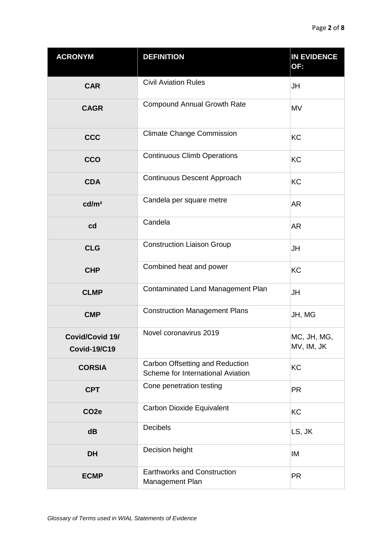| <b>ACRONYM</b>                         | <b>DEFINITION</b>                                                    | <b>IN EVIDENCE</b><br>OF: |
|----------------------------------------|----------------------------------------------------------------------|---------------------------|
| <b>CAR</b>                             | <b>Civil Aviation Rules</b>                                          | JH                        |
| <b>CAGR</b>                            | <b>Compound Annual Growth Rate</b>                                   | <b>MV</b>                 |
| <b>CCC</b>                             | <b>Climate Change Commission</b>                                     | <b>KC</b>                 |
| CCO                                    | <b>Continuous Climb Operations</b>                                   | <b>KC</b>                 |
| <b>CDA</b>                             | Continuous Descent Approach                                          | <b>KC</b>                 |
| cd/m <sup>2</sup>                      | Candela per square metre                                             | <b>AR</b>                 |
| cd                                     | Candela                                                              | <b>AR</b>                 |
| <b>CLG</b>                             | <b>Construction Liaison Group</b>                                    | JH                        |
| <b>CHP</b>                             | Combined heat and power                                              | <b>KC</b>                 |
| <b>CLMP</b>                            | Contaminated Land Management Plan                                    | <b>JH</b>                 |
| <b>CMP</b>                             | <b>Construction Management Plans</b>                                 | JH, MG                    |
| Covid/Covid 19/<br><b>Covid-19/C19</b> | Novel coronavirus 2019                                               | MC, JH, MG,<br>MV, IM, JK |
| <b>CORSIA</b>                          | Carbon Offsetting and Reduction<br>Scheme for International Aviation | KC                        |
| <b>CPT</b>                             | Cone penetration testing                                             | <b>PR</b>                 |
| CO <sub>2e</sub>                       | Carbon Dioxide Equivalent                                            | KC                        |
| dB                                     | Decibels                                                             | LS, JK                    |
| <b>DH</b>                              | Decision height                                                      | IM                        |
| <b>ECMP</b>                            | <b>Earthworks and Construction</b><br>Management Plan                | <b>PR</b>                 |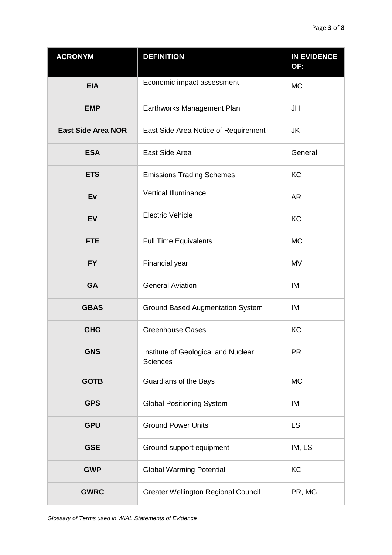| <b>ACRONYM</b>            | <b>DEFINITION</b>                                      | <b>IN EVIDENCE</b><br>OF: |
|---------------------------|--------------------------------------------------------|---------------------------|
| <b>EIA</b>                | Economic impact assessment                             | <b>MC</b>                 |
| <b>EMP</b>                | Earthworks Management Plan                             | JH                        |
| <b>East Side Area NOR</b> | East Side Area Notice of Requirement                   | IJΚ                       |
| <b>ESA</b>                | East Side Area                                         | General                   |
| <b>ETS</b>                | <b>Emissions Trading Schemes</b>                       | <b>KC</b>                 |
| Ev                        | <b>Vertical Illuminance</b>                            | <b>AR</b>                 |
| <b>EV</b>                 | <b>Electric Vehicle</b>                                | <b>KC</b>                 |
| <b>FTE</b>                | <b>Full Time Equivalents</b>                           | <b>MC</b>                 |
| <b>FY</b>                 | Financial year                                         | <b>MV</b>                 |
| GA                        | <b>General Aviation</b>                                | IM                        |
| <b>GBAS</b>               | <b>Ground Based Augmentation System</b>                | IM                        |
| <b>GHG</b>                | <b>Greenhouse Gases</b>                                | <b>KC</b>                 |
| <b>GNS</b>                | Institute of Geological and Nuclear<br><b>Sciences</b> | <b>PR</b>                 |
| <b>GOTB</b>               | Guardians of the Bays                                  | <b>MC</b>                 |
| <b>GPS</b>                | <b>Global Positioning System</b>                       | IM                        |
| <b>GPU</b>                | <b>Ground Power Units</b>                              | <b>LS</b>                 |
| <b>GSE</b>                | Ground support equipment                               | IM, LS                    |
| <b>GWP</b>                | <b>Global Warming Potential</b>                        | KC                        |
| <b>GWRC</b>               | <b>Greater Wellington Regional Council</b>             | PR, MG                    |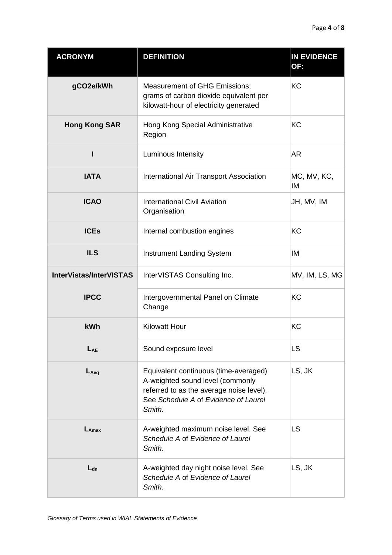| <b>ACRONYM</b>                 | <b>DEFINITION</b>                                                                                                                                                       | <b>IN EVIDENCE</b><br>OF: |
|--------------------------------|-------------------------------------------------------------------------------------------------------------------------------------------------------------------------|---------------------------|
| gCO2e/kWh                      | <b>Measurement of GHG Emissions;</b><br>grams of carbon dioxide equivalent per<br>kilowatt-hour of electricity generated                                                | KC                        |
| <b>Hong Kong SAR</b>           | Hong Kong Special Administrative<br>Region                                                                                                                              | KC                        |
| ı                              | Luminous Intensity                                                                                                                                                      | <b>AR</b>                 |
| <b>IATA</b>                    | International Air Transport Association                                                                                                                                 | MC, MV, KC,<br>IM         |
| <b>ICAO</b>                    | <b>International Civil Aviation</b><br>Organisation                                                                                                                     | JH, MV, IM                |
| <b>ICEs</b>                    | Internal combustion engines                                                                                                                                             | <b>KC</b>                 |
| <b>ILS</b>                     | <b>Instrument Landing System</b>                                                                                                                                        | IM                        |
| <b>InterVistas/InterVISTAS</b> | InterVISTAS Consulting Inc.                                                                                                                                             | MV, IM, LS, MG            |
| <b>IPCC</b>                    | Intergovernmental Panel on Climate<br>Change                                                                                                                            | <b>KC</b>                 |
| <b>kWh</b>                     | <b>Kilowatt Hour</b>                                                                                                                                                    | KC                        |
| LAE                            | Sound exposure level                                                                                                                                                    | <b>LS</b>                 |
| $L_{Aeq}$                      | Equivalent continuous (time-averaged)<br>A-weighted sound level (commonly<br>referred to as the average noise level).<br>See Schedule A of Evidence of Laurel<br>Smith. | LS, JK                    |
| $L_{\text{Amax}}$              | A-weighted maximum noise level. See<br>Schedule A of Evidence of Laurel<br>Smith.                                                                                       | <b>LS</b>                 |
| $L_{dn}$                       | A-weighted day night noise level. See<br>Schedule A of Evidence of Laurel<br>Smith.                                                                                     | LS, JK                    |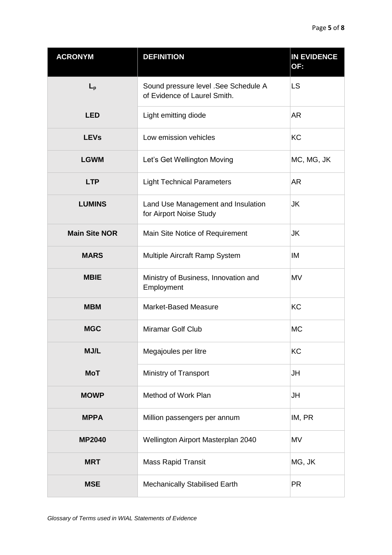| <b>ACRONYM</b>       | <b>DEFINITION</b>                                                    | <b>IN EVIDENCE</b><br>OF: |
|----------------------|----------------------------------------------------------------------|---------------------------|
| $L_{p}$              | Sound pressure level .See Schedule A<br>of Evidence of Laurel Smith. | <b>LS</b>                 |
| <b>LED</b>           | Light emitting diode                                                 | <b>AR</b>                 |
| <b>LEVs</b>          | Low emission vehicles                                                | <b>KC</b>                 |
| <b>LGWM</b>          | Let's Get Wellington Moving                                          | MC, MG, JK                |
| <b>LTP</b>           | <b>Light Technical Parameters</b>                                    | <b>AR</b>                 |
| <b>LUMINS</b>        | Land Use Management and Insulation<br>for Airport Noise Study        | JK                        |
| <b>Main Site NOR</b> | Main Site Notice of Requirement                                      | JK                        |
| <b>MARS</b>          | Multiple Aircraft Ramp System                                        | IM                        |
| <b>MBIE</b>          | Ministry of Business, Innovation and<br>Employment                   | <b>MV</b>                 |
| <b>MBM</b>           | <b>Market-Based Measure</b>                                          | <b>KC</b>                 |
| <b>MGC</b>           | Miramar Golf Club                                                    | <b>MC</b>                 |
| MJ/L                 | Megajoules per litre                                                 | KC                        |
| <b>MoT</b>           | Ministry of Transport                                                | JH                        |
| <b>MOWP</b>          | Method of Work Plan                                                  | JH                        |
| <b>MPPA</b>          | Million passengers per annum                                         | IM, PR                    |
| <b>MP2040</b>        | Wellington Airport Masterplan 2040                                   | MV                        |
| <b>MRT</b>           | <b>Mass Rapid Transit</b>                                            | MG, JK                    |
| <b>MSE</b>           | Mechanically Stabilised Earth                                        | <b>PR</b>                 |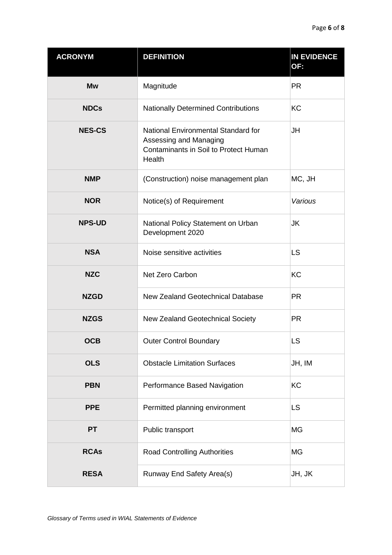| <b>ACRONYM</b> | <b>DEFINITION</b>                                                                                                | <b>IN EVIDENCE</b><br>OF: |
|----------------|------------------------------------------------------------------------------------------------------------------|---------------------------|
| <b>Mw</b>      | Magnitude                                                                                                        | <b>PR</b>                 |
| <b>NDCs</b>    | <b>Nationally Determined Contributions</b>                                                                       | KC                        |
| <b>NES-CS</b>  | National Environmental Standard for<br>Assessing and Managing<br>Contaminants in Soil to Protect Human<br>Health | <b>JH</b>                 |
| <b>NMP</b>     | (Construction) noise management plan                                                                             | MC, JH                    |
| <b>NOR</b>     | Notice(s) of Requirement                                                                                         | Various                   |
| <b>NPS-UD</b>  | National Policy Statement on Urban<br>Development 2020                                                           | JK                        |
| <b>NSA</b>     | Noise sensitive activities                                                                                       | <b>LS</b>                 |
| <b>NZC</b>     | Net Zero Carbon                                                                                                  | KC                        |
| <b>NZGD</b>    | New Zealand Geotechnical Database                                                                                | <b>PR</b>                 |
| <b>NZGS</b>    | New Zealand Geotechnical Society                                                                                 | <b>PR</b>                 |
| <b>OCB</b>     | <b>Outer Control Boundary</b>                                                                                    | <b>LS</b>                 |
| <b>OLS</b>     | <b>Obstacle Limitation Surfaces</b>                                                                              | JH, IM                    |
| <b>PBN</b>     | Performance Based Navigation                                                                                     | <b>KC</b>                 |
| <b>PPE</b>     | Permitted planning environment                                                                                   | <b>LS</b>                 |
| <b>PT</b>      | Public transport                                                                                                 | <b>MG</b>                 |
| <b>RCAs</b>    | <b>Road Controlling Authorities</b>                                                                              | <b>MG</b>                 |
| <b>RESA</b>    | Runway End Safety Area(s)                                                                                        | JH, JK                    |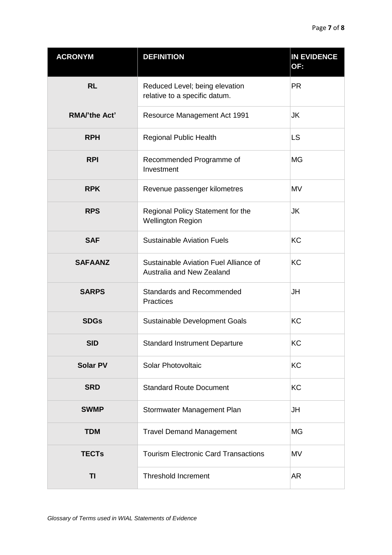| <b>ACRONYM</b>       | <b>DEFINITION</b>                                                  | <b>IN EVIDENCE</b><br>OF: |
|----------------------|--------------------------------------------------------------------|---------------------------|
| <b>RL</b>            | Reduced Level; being elevation<br>relative to a specific datum.    | <b>PR</b>                 |
| <b>RMA/'the Act'</b> | Resource Management Act 1991                                       | JK                        |
| <b>RPH</b>           | <b>Regional Public Health</b>                                      | <b>LS</b>                 |
| <b>RPI</b>           | Recommended Programme of<br>Investment                             | <b>MG</b>                 |
| <b>RPK</b>           | Revenue passenger kilometres                                       | MV                        |
| <b>RPS</b>           | Regional Policy Statement for the<br><b>Wellington Region</b>      | JK                        |
| <b>SAF</b>           | <b>Sustainable Aviation Fuels</b>                                  | <b>KC</b>                 |
| <b>SAFAANZ</b>       | Sustainable Aviation Fuel Alliance of<br>Australia and New Zealand | <b>KC</b>                 |
| <b>SARPS</b>         | <b>Standards and Recommended</b><br>Practices                      | JH                        |
| <b>SDGs</b>          | Sustainable Development Goals                                      | <b>KC</b>                 |
| SID                  | <b>Standard Instrument Departure</b>                               | KC                        |
| <b>Solar PV</b>      | Solar Photovoltaic                                                 | KC                        |
| <b>SRD</b>           | <b>Standard Route Document</b>                                     | KC                        |
| <b>SWMP</b>          | Stormwater Management Plan                                         | JH                        |
| <b>TDM</b>           | <b>Travel Demand Management</b>                                    | <b>MG</b>                 |
| <b>TECTs</b>         | <b>Tourism Electronic Card Transactions</b>                        | MV                        |
| TI                   | <b>Threshold Increment</b>                                         | AR                        |